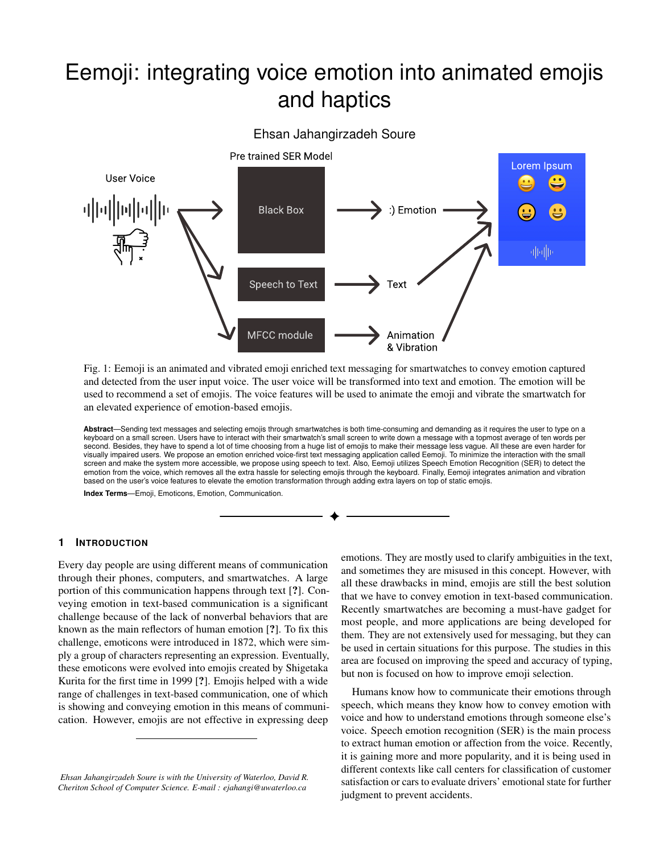# Eemoji: integrating voice emotion into animated emojis and haptics



Fig. 1: Eemoji is an animated and vibrated emoji enriched text messaging for smartwatches to convey emotion captured and detected from the user input voice. The user voice will be transformed into text and emotion. The emotion will be used to recommend a set of emojis. The voice features will be used to animate the emoji and vibrate the smartwatch for an elevated experience of emotion-based emojis.

**Abstract**—Sending text messages and selecting emojis through smartwatches is both time-consuming and demanding as it requires the user to type on a keyboard on a small screen. Users have to interact with their smartwatch's small screen to write down a message with a topmost average of ten words per second. Besides, they have to spend a lot of time choosing from a huge list of emojis to make their message less vague. All these are even harder for visually impaired users. We propose an emotion enriched voice-first text messaging application called Eemoji. To minimize the interaction with the small screen and make the system more accessible, we propose using speech to text. Also, Eemoji utilizes Speech Emotion Recognition (SER) to detect the emotion from the voice, which removes all the extra hassle for selecting emojis through the keyboard. Finally, Eemoji integrates animation and vibration based on the user's voice features to elevate the emotion transformation through adding extra layers on top of static emojis.

**Index Terms**—Emoji, Emoticons, Emotion, Communication.

#### **1 INTRODUCTION**

Every day people are using different means of communication through their phones, computers, and smartwatches. A large portion of this communication happens through text [?]. Conveying emotion in text-based communication is a significant challenge because of the lack of nonverbal behaviors that are known as the main reflectors of human emotion [?]. To fix this challenge, emoticons were introduced in 1872, which were simply a group of characters representing an expression. Eventually, these emoticons were evolved into emojis created by Shigetaka Kurita for the first time in 1999 [?]. Emojis helped with a wide range of challenges in text-based communication, one of which is showing and conveying emotion in this means of communication. However, emojis are not effective in expressing deep emotions. They are mostly used to clarify ambiguities in the text, and sometimes they are misused in this concept. However, with all these drawbacks in mind, emojis are still the best solution that we have to convey emotion in text-based communication. Recently smartwatches are becoming a must-have gadget for most people, and more applications are being developed for them. They are not extensively used for messaging, but they can be used in certain situations for this purpose. The studies in this area are focused on improving the speed and accuracy of typing, but non is focused on how to improve emoji selection.

Humans know how to communicate their emotions through speech, which means they know how to convey emotion with voice and how to understand emotions through someone else's voice. Speech emotion recognition (SER) is the main process to extract human emotion or affection from the voice. Recently, it is gaining more and more popularity, and it is being used in different contexts like call centers for classification of customer satisfaction or cars to evaluate drivers' emotional state for further judgment to prevent accidents.

*Ehsan Jahangirzadeh Soure is with the University of Waterloo, David R. Cheriton School of Computer Science. E-mail : ejahangi@uwaterloo.ca*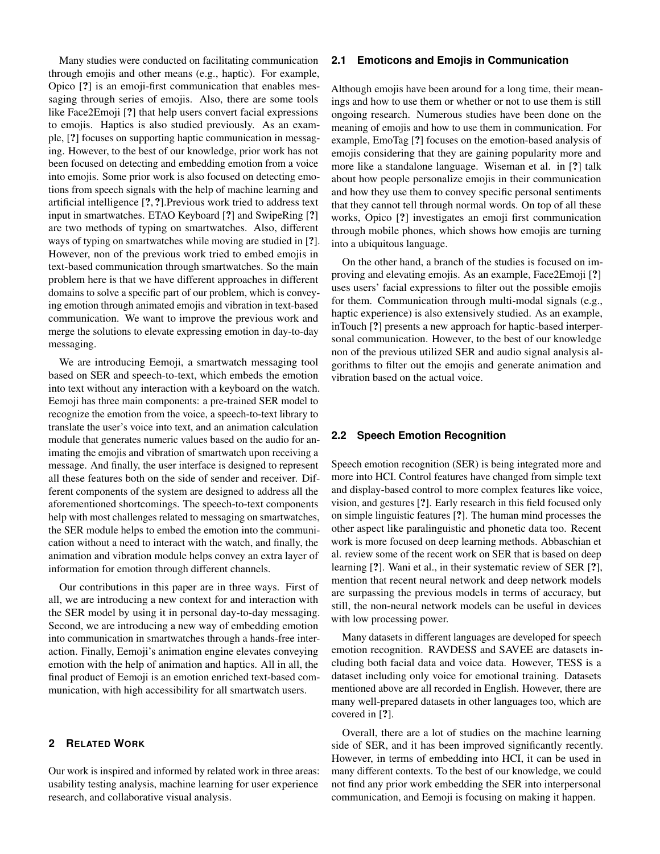Many studies were conducted on facilitating communication through emojis and other means (e.g., haptic). For example, Opico [?] is an emoji-first communication that enables messaging through series of emojis. Also, there are some tools like Face2Emoji [?] that help users convert facial expressions to emojis. Haptics is also studied previously. As an example, [?] focuses on supporting haptic communication in messaging. However, to the best of our knowledge, prior work has not been focused on detecting and embedding emotion from a voice into emojis. Some prior work is also focused on detecting emotions from speech signals with the help of machine learning and artificial intelligence [?, ?].Previous work tried to address text input in smartwatches. ETAO Keyboard [?] and SwipeRing [?] are two methods of typing on smartwatches. Also, different ways of typing on smartwatches while moving are studied in [?]. However, non of the previous work tried to embed emojis in text-based communication through smartwatches. So the main problem here is that we have different approaches in different domains to solve a specific part of our problem, which is conveying emotion through animated emojis and vibration in text-based communication. We want to improve the previous work and merge the solutions to elevate expressing emotion in day-to-day messaging.

We are introducing Eemoji, a smartwatch messaging tool based on SER and speech-to-text, which embeds the emotion into text without any interaction with a keyboard on the watch. Eemoji has three main components: a pre-trained SER model to recognize the emotion from the voice, a speech-to-text library to translate the user's voice into text, and an animation calculation module that generates numeric values based on the audio for animating the emojis and vibration of smartwatch upon receiving a message. And finally, the user interface is designed to represent all these features both on the side of sender and receiver. Different components of the system are designed to address all the aforementioned shortcomings. The speech-to-text components help with most challenges related to messaging on smartwatches, the SER module helps to embed the emotion into the communication without a need to interact with the watch, and finally, the animation and vibration module helps convey an extra layer of information for emotion through different channels.

Our contributions in this paper are in three ways. First of all, we are introducing a new context for and interaction with the SER model by using it in personal day-to-day messaging. Second, we are introducing a new way of embedding emotion into communication in smartwatches through a hands-free interaction. Finally, Eemoji's animation engine elevates conveying emotion with the help of animation and haptics. All in all, the final product of Eemoji is an emotion enriched text-based communication, with high accessibility for all smartwatch users.

# **2 RELATED WORK**

Our work is inspired and informed by related work in three areas: usability testing analysis, machine learning for user experience research, and collaborative visual analysis.

#### **2.1 Emoticons and Emojis in Communication**

Although emojis have been around for a long time, their meanings and how to use them or whether or not to use them is still ongoing research. Numerous studies have been done on the meaning of emojis and how to use them in communication. For example, EmoTag [?] focuses on the emotion-based analysis of emojis considering that they are gaining popularity more and more like a standalone language. Wiseman et al. in [?] talk about how people personalize emojis in their communication and how they use them to convey specific personal sentiments that they cannot tell through normal words. On top of all these works, Opico [?] investigates an emoji first communication through mobile phones, which shows how emojis are turning into a ubiquitous language.

On the other hand, a branch of the studies is focused on improving and elevating emojis. As an example, Face2Emoji [?] uses users' facial expressions to filter out the possible emojis for them. Communication through multi-modal signals (e.g., haptic experience) is also extensively studied. As an example, inTouch [?] presents a new approach for haptic-based interpersonal communication. However, to the best of our knowledge non of the previous utilized SER and audio signal analysis algorithms to filter out the emojis and generate animation and vibration based on the actual voice.

## **2.2 Speech Emotion Recognition**

Speech emotion recognition (SER) is being integrated more and more into HCI. Control features have changed from simple text and display-based control to more complex features like voice, vision, and gestures [?]. Early research in this field focused only on simple linguistic features [?]. The human mind processes the other aspect like paralinguistic and phonetic data too. Recent work is more focused on deep learning methods. Abbaschian et al. review some of the recent work on SER that is based on deep learning [?]. Wani et al., in their systematic review of SER [?], mention that recent neural network and deep network models are surpassing the previous models in terms of accuracy, but still, the non-neural network models can be useful in devices with low processing power.

Many datasets in different languages are developed for speech emotion recognition. RAVDESS and SAVEE are datasets including both facial data and voice data. However, TESS is a dataset including only voice for emotional training. Datasets mentioned above are all recorded in English. However, there are many well-prepared datasets in other languages too, which are covered in [?].

Overall, there are a lot of studies on the machine learning side of SER, and it has been improved significantly recently. However, in terms of embedding into HCI, it can be used in many different contexts. To the best of our knowledge, we could not find any prior work embedding the SER into interpersonal communication, and Eemoji is focusing on making it happen.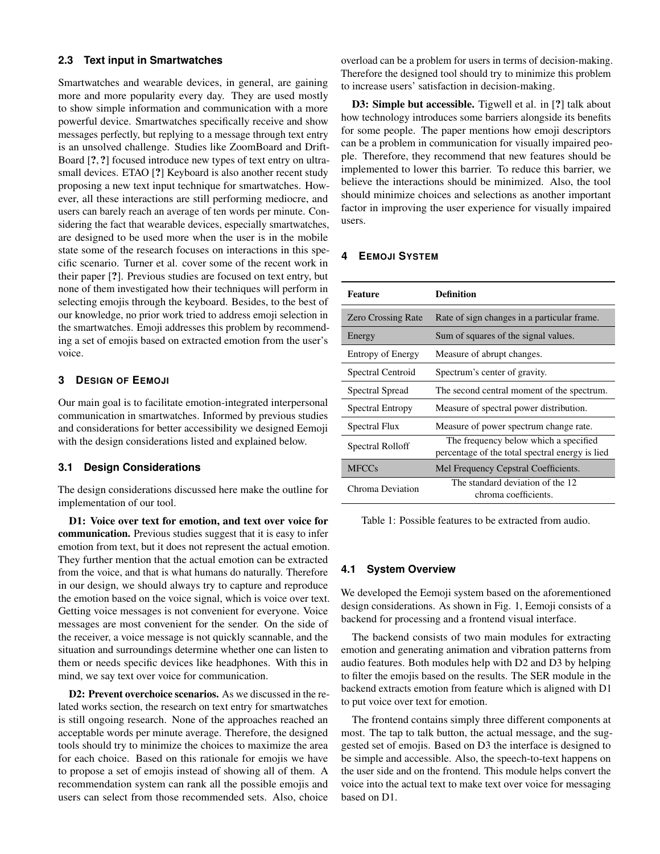# **2.3 Text input in Smartwatches**

Smartwatches and wearable devices, in general, are gaining more and more popularity every day. They are used mostly to show simple information and communication with a more powerful device. Smartwatches specifically receive and show messages perfectly, but replying to a message through text entry is an unsolved challenge. Studies like ZoomBoard and Drift-Board [?, ?] focused introduce new types of text entry on ultrasmall devices. ETAO [?] Keyboard is also another recent study proposing a new text input technique for smartwatches. However, all these interactions are still performing mediocre, and users can barely reach an average of ten words per minute. Considering the fact that wearable devices, especially smartwatches, are designed to be used more when the user is in the mobile state some of the research focuses on interactions in this specific scenario. Turner et al. cover some of the recent work in their paper [?]. Previous studies are focused on text entry, but none of them investigated how their techniques will perform in selecting emojis through the keyboard. Besides, to the best of our knowledge, no prior work tried to address emoji selection in the smartwatches. Emoji addresses this problem by recommending a set of emojis based on extracted emotion from the user's voice.

# **3 DESIGN OF EEMOJI**

Our main goal is to facilitate emotion-integrated interpersonal communication in smartwatches. Informed by previous studies and considerations for better accessibility we designed Eemoji with the design considerations listed and explained below.

# **3.1 Design Considerations**

The design considerations discussed here make the outline for implementation of our tool.

D1: Voice over text for emotion, and text over voice for communication. Previous studies suggest that it is easy to infer emotion from text, but it does not represent the actual emotion. They further mention that the actual emotion can be extracted from the voice, and that is what humans do naturally. Therefore in our design, we should always try to capture and reproduce the emotion based on the voice signal, which is voice over text. Getting voice messages is not convenient for everyone. Voice messages are most convenient for the sender. On the side of the receiver, a voice message is not quickly scannable, and the situation and surroundings determine whether one can listen to them or needs specific devices like headphones. With this in mind, we say text over voice for communication.

D2: Prevent overchoice scenarios. As we discussed in the related works section, the research on text entry for smartwatches is still ongoing research. None of the approaches reached an acceptable words per minute average. Therefore, the designed tools should try to minimize the choices to maximize the area for each choice. Based on this rationale for emojis we have to propose a set of emojis instead of showing all of them. A recommendation system can rank all the possible emojis and users can select from those recommended sets. Also, choice

overload can be a problem for users in terms of decision-making. Therefore the designed tool should try to minimize this problem to increase users' satisfaction in decision-making.

D3: Simple but accessible. Tigwell et al. in [?] talk about how technology introduces some barriers alongside its benefits for some people. The paper mentions how emoji descriptors can be a problem in communication for visually impaired people. Therefore, they recommend that new features should be implemented to lower this barrier. To reduce this barrier, we believe the interactions should be minimized. Also, the tool should minimize choices and selections as another important factor in improving the user experience for visually impaired users.

## **4 EEMOJI SYSTEM**

| <b>Feature</b>            | Definition                                                                               |
|---------------------------|------------------------------------------------------------------------------------------|
| <b>Zero Crossing Rate</b> | Rate of sign changes in a particular frame.                                              |
| Energy                    | Sum of squares of the signal values.                                                     |
| <b>Entropy of Energy</b>  | Measure of abrupt changes.                                                               |
| Spectral Centroid         | Spectrum's center of gravity.                                                            |
| Spectral Spread           | The second central moment of the spectrum.                                               |
| <b>Spectral Entropy</b>   | Measure of spectral power distribution.                                                  |
| Spectral Flux             | Measure of power spectrum change rate.                                                   |
| Spectral Rolloff          | The frequency below which a specified<br>percentage of the total spectral energy is lied |
| <b>MFCCs</b>              | Mel Frequency Cepstral Coefficients.                                                     |
| Chroma Deviation          | The standard deviation of the 12<br>chroma coefficients.                                 |

Table 1: Possible features to be extracted from audio.

#### **4.1 System Overview**

We developed the Eemoji system based on the aforementioned design considerations. As shown in Fig. 1, Eemoji consists of a backend for processing and a frontend visual interface.

The backend consists of two main modules for extracting emotion and generating animation and vibration patterns from audio features. Both modules help with D2 and D3 by helping to filter the emojis based on the results. The SER module in the backend extracts emotion from feature which is aligned with D1 to put voice over text for emotion.

The frontend contains simply three different components at most. The tap to talk button, the actual message, and the suggested set of emojis. Based on D3 the interface is designed to be simple and accessible. Also, the speech-to-text happens on the user side and on the frontend. This module helps convert the voice into the actual text to make text over voice for messaging based on D1.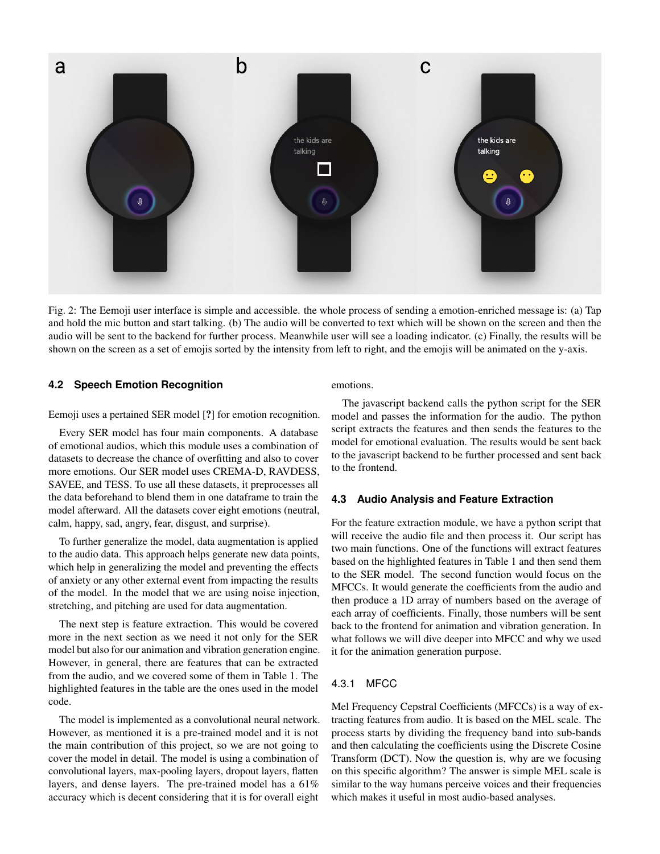

Fig. 2: The Eemoji user interface is simple and accessible. the whole process of sending a emotion-enriched message is: (a) Tap and hold the mic button and start talking. (b) The audio will be converted to text which will be shown on the screen and then the audio will be sent to the backend for further process. Meanwhile user will see a loading indicator. (c) Finally, the results will be shown on the screen as a set of emojis sorted by the intensity from left to right, and the emojis will be animated on the y-axis.

# **4.2 Speech Emotion Recognition**

Eemoji uses a pertained SER model [?] for emotion recognition.

Every SER model has four main components. A database of emotional audios, which this module uses a combination of datasets to decrease the chance of overfitting and also to cover more emotions. Our SER model uses CREMA-D, RAVDESS, SAVEE, and TESS. To use all these datasets, it preprocesses all the data beforehand to blend them in one dataframe to train the model afterward. All the datasets cover eight emotions (neutral, calm, happy, sad, angry, fear, disgust, and surprise).

To further generalize the model, data augmentation is applied to the audio data. This approach helps generate new data points, which help in generalizing the model and preventing the effects of anxiety or any other external event from impacting the results of the model. In the model that we are using noise injection, stretching, and pitching are used for data augmentation.

The next step is feature extraction. This would be covered more in the next section as we need it not only for the SER model but also for our animation and vibration generation engine. However, in general, there are features that can be extracted from the audio, and we covered some of them in Table 1. The highlighted features in the table are the ones used in the model code.

The model is implemented as a convolutional neural network. However, as mentioned it is a pre-trained model and it is not the main contribution of this project, so we are not going to cover the model in detail. The model is using a combination of convolutional layers, max-pooling layers, dropout layers, flatten layers, and dense layers. The pre-trained model has a 61% accuracy which is decent considering that it is for overall eight

emotions.

The javascript backend calls the python script for the SER model and passes the information for the audio. The python script extracts the features and then sends the features to the model for emotional evaluation. The results would be sent back to the javascript backend to be further processed and sent back to the frontend.

## **4.3 Audio Analysis and Feature Extraction**

For the feature extraction module, we have a python script that will receive the audio file and then process it. Our script has two main functions. One of the functions will extract features based on the highlighted features in Table 1 and then send them to the SER model. The second function would focus on the MFCCs. It would generate the coefficients from the audio and then produce a 1D array of numbers based on the average of each array of coefficients. Finally, those numbers will be sent back to the frontend for animation and vibration generation. In what follows we will dive deeper into MFCC and why we used it for the animation generation purpose.

# 4.3.1 MFCC

Mel Frequency Cepstral Coefficients (MFCCs) is a way of extracting features from audio. It is based on the MEL scale. The process starts by dividing the frequency band into sub-bands and then calculating the coefficients using the Discrete Cosine Transform (DCT). Now the question is, why are we focusing on this specific algorithm? The answer is simple MEL scale is similar to the way humans perceive voices and their frequencies which makes it useful in most audio-based analyses.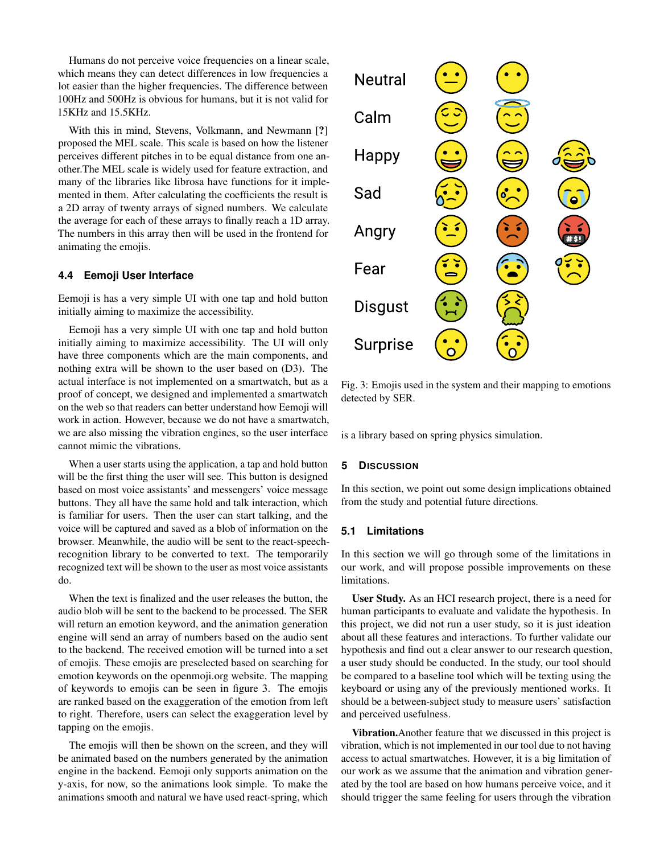Humans do not perceive voice frequencies on a linear scale, which means they can detect differences in low frequencies a lot easier than the higher frequencies. The difference between 100Hz and 500Hz is obvious for humans, but it is not valid for 15KHz and 15.5KHz.

With this in mind, Stevens, Volkmann, and Newmann [?] proposed the MEL scale. This scale is based on how the listener perceives different pitches in to be equal distance from one another.The MEL scale is widely used for feature extraction, and many of the libraries like librosa have functions for it implemented in them. After calculating the coefficients the result is a 2D array of twenty arrays of signed numbers. We calculate the average for each of these arrays to finally reach a 1D array. The numbers in this array then will be used in the frontend for animating the emojis.

## **4.4 Eemoji User Interface**

Eemoji is has a very simple UI with one tap and hold button initially aiming to maximize the accessibility.

Eemoji has a very simple UI with one tap and hold button initially aiming to maximize accessibility. The UI will only have three components which are the main components, and nothing extra will be shown to the user based on (D3). The actual interface is not implemented on a smartwatch, but as a proof of concept, we designed and implemented a smartwatch on the web so that readers can better understand how Eemoji will work in action. However, because we do not have a smartwatch, we are also missing the vibration engines, so the user interface cannot mimic the vibrations.

When a user starts using the application, a tap and hold button will be the first thing the user will see. This button is designed based on most voice assistants' and messengers' voice message buttons. They all have the same hold and talk interaction, which is familiar for users. Then the user can start talking, and the voice will be captured and saved as a blob of information on the browser. Meanwhile, the audio will be sent to the react-speechrecognition library to be converted to text. The temporarily recognized text will be shown to the user as most voice assistants do.

When the text is finalized and the user releases the button, the audio blob will be sent to the backend to be processed. The SER will return an emotion keyword, and the animation generation engine will send an array of numbers based on the audio sent to the backend. The received emotion will be turned into a set of emojis. These emojis are preselected based on searching for emotion keywords on the openmoji.org website. The mapping of keywords to emojis can be seen in figure 3. The emojis are ranked based on the exaggeration of the emotion from left to right. Therefore, users can select the exaggeration level by tapping on the emojis.

The emojis will then be shown on the screen, and they will be animated based on the numbers generated by the animation engine in the backend. Eemoji only supports animation on the y-axis, for now, so the animations look simple. To make the animations smooth and natural we have used react-spring, which



Fig. 3: Emojis used in the system and their mapping to emotions detected by SER.

is a library based on spring physics simulation.

## **5 DISCUSSION**

In this section, we point out some design implications obtained from the study and potential future directions.

## **5.1 Limitations**

In this section we will go through some of the limitations in our work, and will propose possible improvements on these limitations.

User Study. As an HCI research project, there is a need for human participants to evaluate and validate the hypothesis. In this project, we did not run a user study, so it is just ideation about all these features and interactions. To further validate our hypothesis and find out a clear answer to our research question, a user study should be conducted. In the study, our tool should be compared to a baseline tool which will be texting using the keyboard or using any of the previously mentioned works. It should be a between-subject study to measure users' satisfaction and perceived usefulness.

Vibration.Another feature that we discussed in this project is vibration, which is not implemented in our tool due to not having access to actual smartwatches. However, it is a big limitation of our work as we assume that the animation and vibration generated by the tool are based on how humans perceive voice, and it should trigger the same feeling for users through the vibration